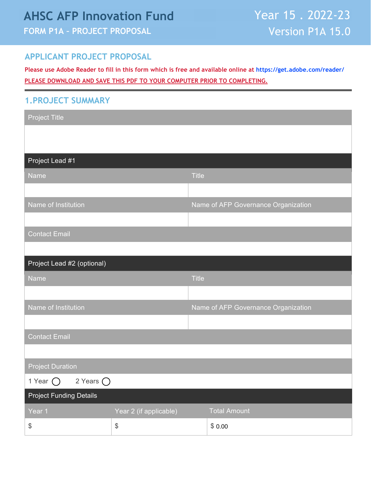# **AHSC AFP Innovation Fund**

# **FORM P1A – PROJECT PROPOSAL**

### **APPLICANT PROJECT PROPOSAL**

**Please use Adobe Reader to fill in this form which is free and available online at <https://get.adobe.com/reader/> PLEASE DOWNLOAD AND SAVE THIS PDF TO YOUR COMPUTER PRIOR TO COMPLETING.**

#### **1.PROJECT SUMMARY**

| <b>Project Title</b>                          |                                               |              |                                     |
|-----------------------------------------------|-----------------------------------------------|--------------|-------------------------------------|
|                                               |                                               |              |                                     |
|                                               |                                               |              |                                     |
| Project Lead #1                               |                                               |              |                                     |
| Name                                          |                                               | <b>Title</b> |                                     |
|                                               |                                               |              |                                     |
| Name of Institution                           |                                               |              | Name of AFP Governance Organization |
|                                               |                                               |              |                                     |
| <b>Contact Email</b>                          |                                               |              |                                     |
|                                               |                                               |              |                                     |
| Project Lead #2 (optional)                    |                                               |              |                                     |
| <b>Name</b>                                   |                                               | <b>Title</b> |                                     |
|                                               |                                               |              |                                     |
| Name of Institution                           |                                               |              | Name of AFP Governance Organization |
|                                               |                                               |              |                                     |
| <b>Contact Email</b>                          |                                               |              |                                     |
|                                               |                                               |              |                                     |
| <b>Project Duration</b>                       |                                               |              |                                     |
| 1 Year $\bigcirc$ 2 Years $\bigcirc$          |                                               |              |                                     |
| <b>Project Funding Details</b>                |                                               |              |                                     |
| Year 1                                        | Year 2 (if applicable)                        |              | <b>Total Amount</b>                 |
| $\, \, \raisebox{12pt}{$\scriptstyle \circ$}$ | $\, \, \raisebox{12pt}{$\scriptstyle \circ$}$ |              | \$0.00                              |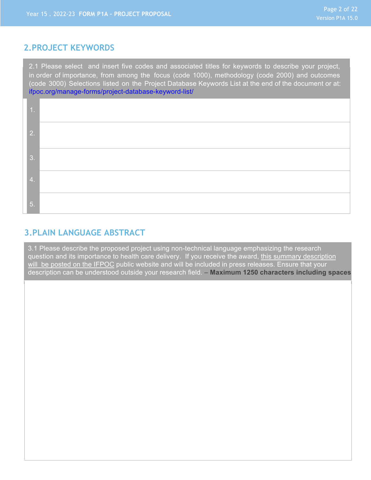#### **2.PROJECT KEYWORDS**

2.1 Please select and insert five codes and associated titles for keywords to describe your project, in order of importance, from among the focus (code 1000), methodology (code 2000) and outcomes (code 3000) Selections listed on the Project Database Keywords List at the end of the document or at: [ifpoc.org/manage-forms/project-database-keyword-list/](https://ifpoc.org/manage-forms/project-database-keyword-list/)

| 2.               |  |
|------------------|--|
| 3.               |  |
| $\overline{4}$ . |  |
| 5.               |  |

#### **3.PLAIN LANGUAGE ABSTRACT**

3.1 Please describe the proposed project using non-technical language emphasizing the research question and its importance to health care delivery. If you receive the award, this summary description will be posted on the IFPOC public website and will be included in press releases. Ensure that your description can be understood outside your research field. – **Maximum 1250 characters including spaces**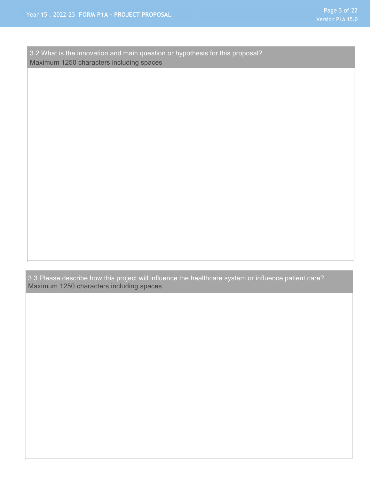3.2 What is the innovation and main question or hypothesis for this proposal? Maximum 1250 characters including spaces

3.3 Please describe how this project will influence the healthcare system or influence patient care? Maximum 1250 characters including spaces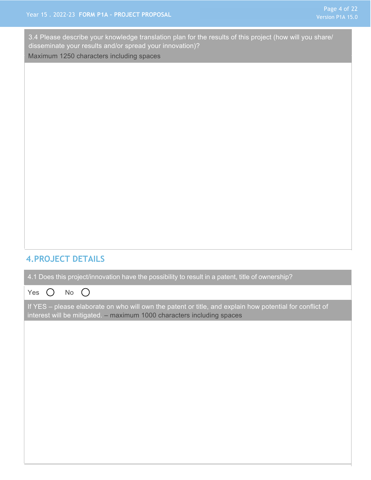3.4 Please describe your knowledge translation plan for the results of this project (how will you share/ disseminate your results and/or spread your innovation)?

Maximum 1250 characters including spaces

# **4.PROJECT DETAILS**

4.1 Does this project/innovation have the possibility to result in a patent, title of ownership?

Yes  $\bigcirc$  No  $\bigcirc$ 

If YES – please elaborate on who will own the patent or title, and explain how potential for conflict of interest will be mitigated. – maximum 1000 characters including spaces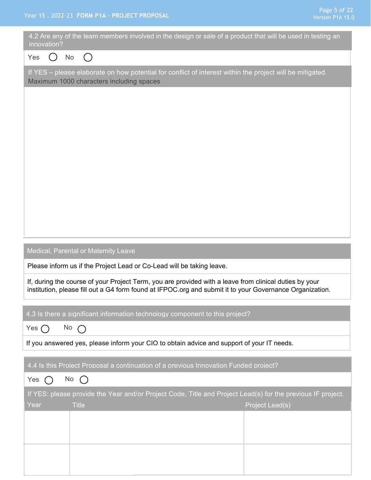| 4.2 Are any of the team members involved in the design or sale of a product that will be used in testing an<br>innovation?                                                                                         |
|--------------------------------------------------------------------------------------------------------------------------------------------------------------------------------------------------------------------|
| Yes<br><b>No</b><br>$(\ )$                                                                                                                                                                                         |
| If YES - please elaborate on how potential for conflict of interest within the project will be mitigated.<br>Maximum 1000 characters including spaces                                                              |
|                                                                                                                                                                                                                    |
|                                                                                                                                                                                                                    |
|                                                                                                                                                                                                                    |
|                                                                                                                                                                                                                    |
|                                                                                                                                                                                                                    |
|                                                                                                                                                                                                                    |
|                                                                                                                                                                                                                    |
|                                                                                                                                                                                                                    |
|                                                                                                                                                                                                                    |
| Medical, Parental or Maternity Leave                                                                                                                                                                               |
| Please inform us if the Project Lead or Co-Lead will be taking leave.                                                                                                                                              |
| If, during the course of your Project Term, you are provided with a leave from clinical duties by your<br>institution, please fill out a G4 form found at IFPOC.org and submit it to your Governance Organization. |
| 4.3 Is there a significant information technology component to this project?                                                                                                                                       |
| No $\bigcap$<br>Yes $\bigcap$                                                                                                                                                                                      |
| If you answered yes, please inform your CIO to obtain advice and support of your IT needs.                                                                                                                         |
| 4.4 Is this Project Proposal a continuation of a previous Innovation Funded project?                                                                                                                               |
| No<br>$\bigcap$<br>Yes<br>$(\ )$                                                                                                                                                                                   |
| If YES: please provide the Year and/or Project Code, Title and Project Lead(s) for the previous IF project.                                                                                                        |
| Year<br><b>Title</b><br>Project Lead(s)                                                                                                                                                                            |
|                                                                                                                                                                                                                    |
|                                                                                                                                                                                                                    |
|                                                                                                                                                                                                                    |
|                                                                                                                                                                                                                    |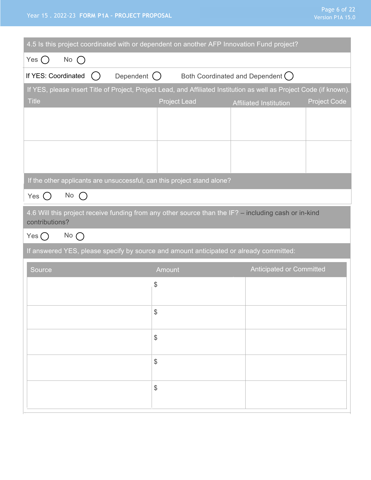#### Year 15 . 2022-23 **FORM P1A – PROJECT PROPOSAL**

| Page 6 of 22     |  |  |  |
|------------------|--|--|--|
| Version P1A 15.0 |  |  |  |

| 4.5 Is this project coordinated with or dependent on another AFP Innovation Fund project?                            |                     |                                   |                     |
|----------------------------------------------------------------------------------------------------------------------|---------------------|-----------------------------------|---------------------|
| Yes $\bigcap$<br>No $\bigcap$                                                                                        |                     |                                   |                     |
| If YES: Coordinated<br>Dependent ()<br>$($ )                                                                         |                     | Both Coordinated and Dependent () |                     |
| If YES, please insert Title of Project, Project Lead, and Affiliated Institution as well as Project Code (if known). |                     |                                   |                     |
| <b>Title</b>                                                                                                         | <b>Project Lead</b> | <b>Affiliated Institution</b>     | <b>Project Code</b> |
|                                                                                                                      |                     |                                   |                     |
|                                                                                                                      |                     |                                   |                     |
|                                                                                                                      |                     |                                   |                     |
|                                                                                                                      |                     |                                   |                     |
| If the other applicants are unsuccessful, can this project stand alone?                                              |                     |                                   |                     |
| $No$ $()$<br>Yes $()$                                                                                                |                     |                                   |                     |
| 4.6 Will this project receive funding from any other source than the IF? - including cash or in-kind                 |                     |                                   |                     |
| contributions?<br>Yes $\bigcap$<br>$No$ $\bigcap$                                                                    |                     |                                   |                     |
|                                                                                                                      |                     |                                   |                     |
| If answered YES, please specify by source and amount anticipated or already committed:                               |                     |                                   |                     |
| Source                                                                                                               | Amount              | <b>Anticipated or Committed</b>   |                     |
|                                                                                                                      | \$                  |                                   |                     |
|                                                                                                                      |                     |                                   |                     |
|                                                                                                                      | \$                  |                                   |                     |
|                                                                                                                      | \$                  |                                   |                     |
|                                                                                                                      | \$                  |                                   |                     |
|                                                                                                                      | \$                  |                                   |                     |
|                                                                                                                      |                     |                                   |                     |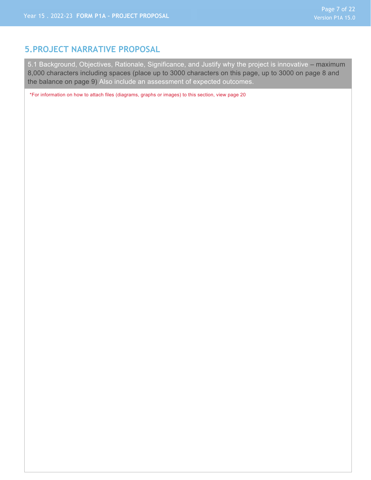#### **5.PROJECT NARRATIVE PROPOSAL**

5.1 Background, Objectives, Rationale, Significance, and Justify why the project is innovative – maximum 8,000 characters including spaces (place up to 3000 characters on this page, up to 3000 on page 8 and the balance on page 9) Also include an assessment of expected outcomes.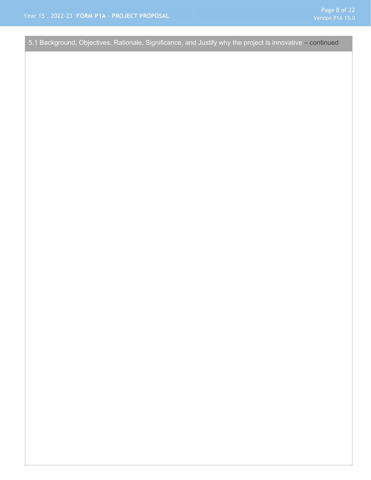5.1 Background, Objectives, Rationale, Significance, and Justify why the project is innovative – continued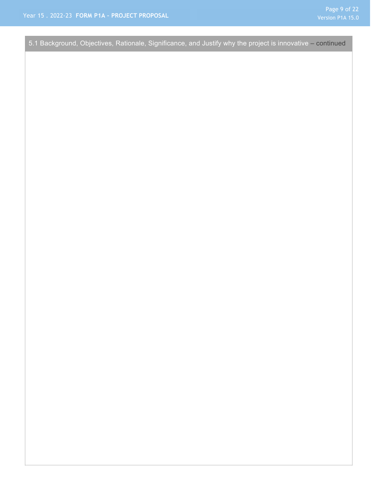5.1 Background, Objectives, Rationale, Significance, and Justify why the project is innovative – continued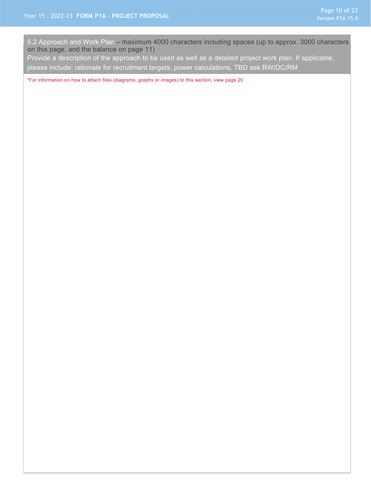5.2 Approach and Work Plan – maximum 4000 characters including spaces (up to approx. 3000 characters on this page, and the balance on page 11)

Provide a description of the approach to be used as well as a detailed project work plan. If applicable, please include: rationale for recruitment targets, power calculations, TBD ask RW/DC/RM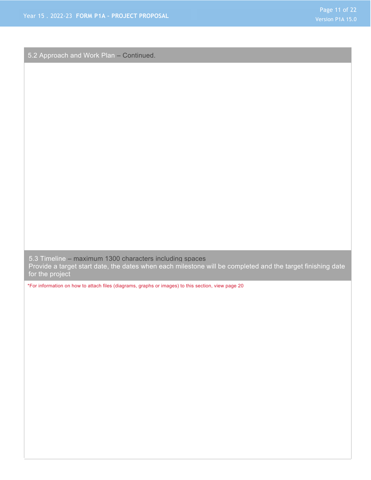5.2 Approach and Work Plan – Continued.

5.3 Timeline – maximum 1300 characters including spaces Provide a target start date, the dates when each milestone will be completed and the target finishing date for the project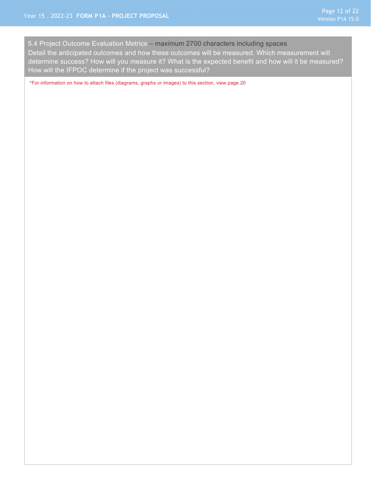5.4 Project Outcome Evaluation Metrics – maximum 2700 characters including spaces Detail the anticipated outcomes and how these outcomes will be measured. Which measurement will determine success? How will you measure it? What is the expected benefit and how will it be measured? How will the IFPOC determine if the project was successful?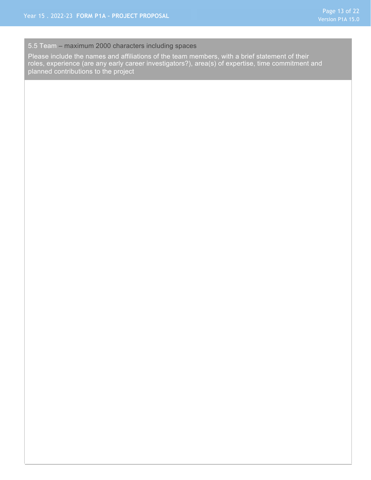#### 5.5 Team – maximum 2000 characters including spaces

Please include the names and affiliations of the team members, with a brief statement of their roles, experience (are any early career investigators?), area(s) of expertise, time commitment and planned contributions to the project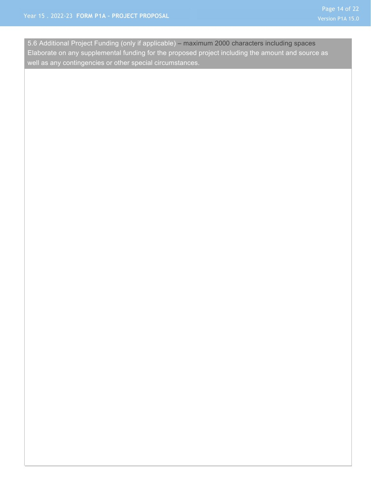5.6 Additional Project Funding (only if applicable) – maximum 2000 characters including spaces Elaborate on any supplemental funding for the proposed project including the amount and source as well as any contingencies or other special circumstances.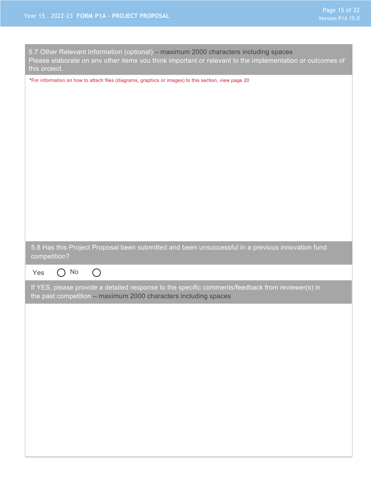| 5.7 Other Relevant Information (optional) - maximum 2000 characters including spaces<br>Please elaborate on any other items you think important or relevant to the implementation or outcomes of<br>this project. |
|-------------------------------------------------------------------------------------------------------------------------------------------------------------------------------------------------------------------|
| *For information on how to attach files (diagrams, graphics or images) to this section, view page 20                                                                                                              |
|                                                                                                                                                                                                                   |
| 5.8 Has this Project Proposal been submitted and been unsuccessful in a previous innovation fund<br>competition?                                                                                                  |
| No<br>$\bigcirc$<br>Yes<br>$(\ )$                                                                                                                                                                                 |
| If YES, please provide a detailed response to the specific comments/feedback from reviewer(s) in<br>the past competition - maximum 2000 characters including spaces                                               |
|                                                                                                                                                                                                                   |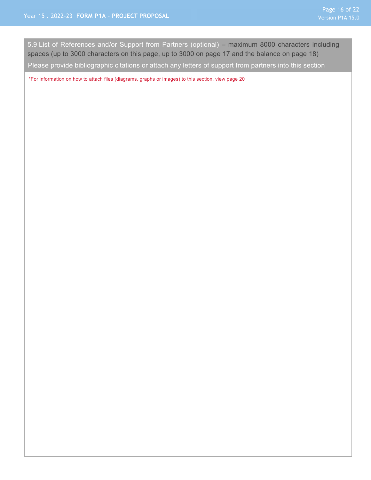5.9 List of References and/or Support from Partners (optional) – maximum 8000 characters including spaces (up to 3000 characters on this page, up to 3000 on page 17 and the balance on page 18)

Please provide bibliographic citations or attach any letters of support from partners into this section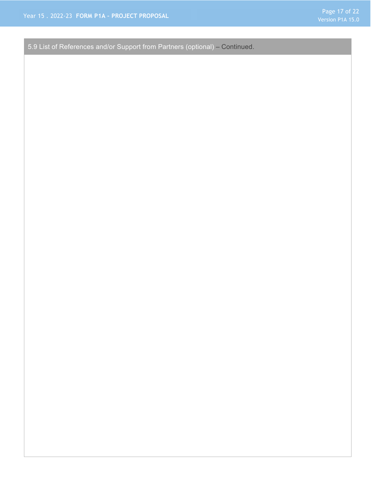5.9 List of References and/or Support from Partners (optional) – Continued.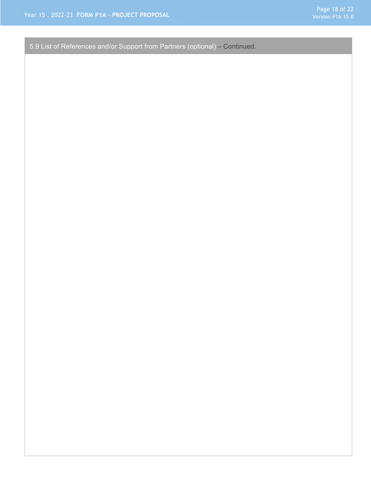5.9 List of References and/or Support from Partners (optional) – Continued.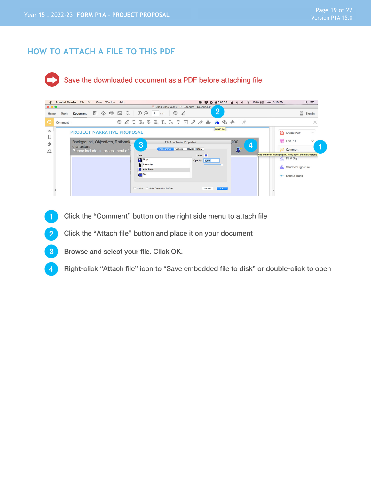## **HOW TO ATTACH A FILE TO THIS PDF**



|                         | <b>Acrobat Reader</b> |                                                                                    |              | File Edit View Window Help |   |          |                                                    |                         |                                              |            |                                              |                       |                         | <b>◎ ♥ △ ◎ 6.66 GB</b>                                                                                                                                                               | $\hat{=}$<br>$\Rightarrow$ $\Rightarrow$ |   | <sup> 100% 图 Wed 3:10 PM</sup> |                                                                                                                                      |                        | $Q \equiv$           |
|-------------------------|-----------------------|------------------------------------------------------------------------------------|--------------|----------------------------|---|----------|----------------------------------------------------|-------------------------|----------------------------------------------|------------|----------------------------------------------|-----------------------|-------------------------|--------------------------------------------------------------------------------------------------------------------------------------------------------------------------------------|------------------------------------------|---|--------------------------------|--------------------------------------------------------------------------------------------------------------------------------------|------------------------|----------------------|
| $\bullet\bullet\bullet$ |                       |                                                                                    |              |                            |   |          |                                                    |                         | 2014_0815-Year 7 - P1 Extended - Generic.pdf |            |                                              |                       |                         |                                                                                                                                                                                      |                                          |   |                                |                                                                                                                                      |                        |                      |
| Home                    | <b>Tools</b>          | <b>Document</b>                                                                    | $\mathbb{B}$ | $\bigoplus$<br>क़          | ⊠ | $\alpha$ | $\circledcirc$                                     | $\circledcirc$          | $7/11$                                       | $\odot$    | $\mathscr Q$                                 |                       |                         | $\overline{2}$                                                                                                                                                                       |                                          |   |                                |                                                                                                                                      |                        | $\mathbb{R}$ Sign In |
| ⊝                       | Comment *             |                                                                                    |              |                            | ⊝ |          |                                                    |                         |                                              |            |                                              |                       |                         | $\mathscr{L}$ T To $\mathbb{F}$ $\mathbb{F}_\alpha$ T <sub>a</sub> T <sub>a</sub> T $\mathbb{F}$ $\mathscr{L}$ $\mathscr{L}$ $\mathscr{L}$ $\mathscr{L}$ $\mathscr{C}$ $\mathscr{C}$ | 分 术                                      |   |                                |                                                                                                                                      |                        | $\times$             |
| $\triangle$             |                       | <b>PROJECT NARRATIVE PROPOSAL</b>                                                  |              |                            |   |          |                                                    |                         |                                              |            |                                              |                       |                         | Attach file                                                                                                                                                                          |                                          |   |                                | f۹                                                                                                                                   | <b>Create PDF</b>      | $\checkmark$         |
| М<br>O<br>Óm            |                       | Background, Objectives, Rationale<br>characters<br>Please include an assessment of |              |                            |   |          | 3<br>Icon:<br><b>The Graph</b><br>$\leftarrow$ Tag | Paperclip<br>Attachment |                                              | Appearance | <b>File Attachment Properties</b><br>General | <b>Review History</b> | Color:<br>Opacity: 100% |                                                                                                                                                                                      | ,000<br>耳                                | 4 |                                | Edit PDF<br>Comment<br>Add comments with highlights, sticky notes, and mark-up tools<br>A. Fill & Sign<br>$\rightarrow$ Send & Track | xlu Send for Signature |                      |
|                         |                       |                                                                                    |              |                            |   |          | Locked                                             |                         | Make Properties Default                      |            |                                              |                       | Cancel                  | OK                                                                                                                                                                                   |                                          |   |                                |                                                                                                                                      |                        |                      |

- Click the "Comment" button on the right side menu to attach file  $\mathbf 1$
- Click the "Attach file" button and place it on your document  $\overline{2}$
- $\mathbf{3}$ Browse and select your file. Click OK.
- Right-click "Attach file" icon to "Save embedded file to disk" or double-click to open  $\overline{4}$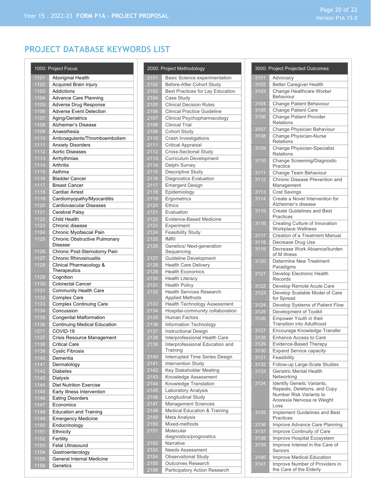# Page 20 of 22

# **PROJECT DATABASE KEYWORDS LIST**

|              | 1000: Project Focus                           |
|--------------|-----------------------------------------------|
| 1101         | Aboriginal Health                             |
| 1102         | Acquired Brain Injury                         |
| 1103         | Addictions                                    |
| 1104         | <b>Advance Care Planning</b>                  |
| 1105         | Adverse Drug Response                         |
| 1106         | <b>Adverse Event Detection</b>                |
| 1107         | Aging/Geriatrics                              |
| 1108         | Alzheimer's Disease                           |
| 1109         | Anaesthesia                                   |
| 1110         | Anticoagulants/Thromboembolism                |
| 1111         | <b>Anxiety Disorders</b>                      |
| 1112         | <b>Aortic Diseases</b>                        |
| 1113         | Arrhythmias                                   |
| 1114         | Arthritis                                     |
| 1115         | Asthma                                        |
| 1116         | <b>Bladder Cancer</b>                         |
| 1117         | <b>Breast Cancer</b>                          |
| 1118         | <b>Cardiac Arrest</b>                         |
| 1119         | Cardiomyopathy/Myocarditis                    |
| 1120         | Cardiovascular Diseases                       |
| 1121         | Cerebral Palsy                                |
| 1122         | Child Health                                  |
| 1123         | Chronic disease                               |
| 1124         | Chronic Myofascial Pain                       |
| 1125         | Chronic Obstructive Pulmonary<br>Disease      |
| 1126         | Chronic Post-Sternotomy Pain                  |
| 1127         | <b>Chronic Rhinosinusitis</b>                 |
| 1128         | Clinical Pharmacology &                       |
|              | Therapeutics                                  |
| 1129         | Cognition                                     |
| 1130         | <b>Colorectal Cancer</b>                      |
| 1131         | Community Health Care                         |
| 1132         | Complex Care                                  |
| 1133         | <b>Complex Continuing Care</b>                |
| 1134         | Concussion                                    |
| 1135         | <b>Congenital Malformation</b>                |
| 1136         | <b>Continuing Medical Education</b>           |
| 1271         | COVID-19                                      |
| 1137         | Crisis Resource Management                    |
| 1138         | <b>Critical Care</b>                          |
| 1139         | <b>Cystic Fibrosis</b>                        |
| 1140         | Dementia                                      |
| 1141         | Dermatology                                   |
| 1142         | <b>Diabetes</b>                               |
| 1143         | Dialysis                                      |
| 1144         | <b>Diet Nutrition Exercise</b>                |
| 1145         | Early Illness Intervention                    |
| 1146         | <b>Eating Disorders</b>                       |
| 1147         | Economics                                     |
| 1148<br>1149 | Education and Training                        |
|              | <b>Emergency Medicine</b>                     |
| 1150         | Endocrinology                                 |
| 1151         | Ethnicity                                     |
| 1152<br>1153 | Fertility<br>Fetal Ultrasound                 |
| 1154         |                                               |
| 1155         | Gastroenterology<br>General Internal Medicine |
| 1156         | Genetics                                      |
|              |                                               |

|              | 2000: Project Methodology                            |
|--------------|------------------------------------------------------|
| 2101         | Basic Science experimentation                        |
| 2102         | Before-After Cohort Study                            |
| 2103         | <b>Best Practices for Lay Education</b>              |
| 2104         | Case Study                                           |
| 2105         | <b>Clinical Decision Rules</b>                       |
| 2106         | <b>Clinical Practice Guideline</b>                   |
| 2107         | Clinical Psychopharmacology                          |
| 2108         | <b>Clinical Trial</b>                                |
| 2109         | Cohort Study                                         |
| 2110         | Crash Investigations                                 |
| 2111         | <b>Critical Appraisal</b>                            |
| 2112         | Cross-Sectional Study                                |
| 2113         | Curriculum Development                               |
| 2114         | Delphi Survey                                        |
| 2115         | Descriptive Study                                    |
| 2116         | Diagnostics Evaluation                               |
| 2117         | <b>Emergent Design</b>                               |
| 2118         | Epidemiology                                         |
| 2119         | Ergometrics                                          |
| 2120         | <b>Ethics</b>                                        |
| 2121         | Evaluation                                           |
| 2122         | <b>Evidence-Based Medicine</b>                       |
| 2123         | Experiment                                           |
| 2124         | <b>Feasibility Study</b>                             |
| 2125         | fMRI                                                 |
| 2126         | Genetics/ Next-generation                            |
|              | Sequencing                                           |
| 2127         | <b>Guideline Development</b>                         |
| 2128<br>2129 | Health Care Delivery<br><b>Health Economics</b>      |
| 2130         |                                                      |
| 2131         | <b>Health Literacy</b><br><b>Health Policy</b>       |
| 2132         | <b>Health Services Research</b>                      |
|              | <b>Applied Methods</b>                               |
| 2133         | <b>Health Technology Assessment</b>                  |
| 2134         | Hospital-community collaboration                     |
| 2135         | <b>Human Factors</b>                                 |
| 2136         | Information Technology                               |
| 2137         | <b>Instructional Design</b>                          |
| 2138         | Interprofessional Health Care                        |
| 2139         | Interprofessional Education and                      |
|              | Training                                             |
| 2140<br>2141 | Interrupted Time Series Design<br>Intervention Study |
| 2142         | Key Stakeholder Meeting                              |
| 2143         | Knowledge Assessment                                 |
| 2144         | Knowledge Translation                                |
| 2145         | Laboratory Analysis                                  |
| 2146         | Longitudinal Study                                   |
| 2147         | Management Sciences                                  |
| 2148         | <b>Medical Education &amp; Training</b>              |
| 2149         | Meta Analysis                                        |
| 2150         | Mixed-methods                                        |
| 2151         | Molecular                                            |
|              | diagnostics/prognostics                              |
| 2152         | Narrative                                            |
| 2153         | <b>Needs Assessment</b>                              |
| 2154         | Observational Study                                  |
| 2155         | <b>Outcomes Research</b>                             |
| 2156         | Participatory Action Research                        |

|      | 3000: Project Projected Outcomes                                                      |
|------|---------------------------------------------------------------------------------------|
| 3101 | Advocacy                                                                              |
| 3102 | <b>Better Caregiver Health</b>                                                        |
| 3103 | Change Healthcare Worker<br><b>Behaviour</b>                                          |
| 3104 | Change Patient Behaviour                                                              |
| 3105 | <b>Change Patient Care</b>                                                            |
| 3106 | <b>Change Patient Provider</b><br><b>Relations</b>                                    |
| 3107 | Change Physician Behaviour                                                            |
| 3108 | Change Physician-Nurse<br><b>Relations</b>                                            |
| 3109 | Change Physician-Specialist<br><b>Relations</b>                                       |
| 3110 | Change Screening/Diagnostic<br>Practice                                               |
| 3111 | Change Team Behaviour                                                                 |
| 3112 | Chronic Disease Prevention and<br>Management                                          |
| 3113 | <b>Cost Savings</b>                                                                   |
| 3114 | Create a Novel Intervention for<br>Alzheimer's disease                                |
| 3115 | <b>Create Guidelines and Best</b><br>Practices                                        |
| 3116 | Creating Culture of Innovation<br>Workplace Wellness                                  |
| 3117 | Creation of a Treatment Manual                                                        |
| 3118 | Decrease Drug Use                                                                     |
| 3119 | Decrease Work Absence/burden<br>of M illness                                          |
| 3120 | Determine New Treatment<br>Paradigms                                                  |
| 3121 | Develop Electronic Health<br>Records                                                  |
| 3122 | Develop Remote Acute Care                                                             |
| 3123 | Develop Scalable Model of Care<br>for Spread                                          |
| 3124 | Develop Systems of Patient Flow                                                       |
| 3125 | Development of Toolkit                                                                |
| 3126 | Empower Youth in their<br>Transition into Adulthood                                   |
| 3127 | Encourage Knowledge Transfer                                                          |
| 3128 | Enhance Access to Care                                                                |
| 3129 | Evidence-Based Therapy                                                                |
| 3130 | <b>Expand Service capacity</b>                                                        |
| 3131 | Feasibility                                                                           |
| 3132 | Follow-up Large-Scale Studies                                                         |
| 3133 | Geriatric Mental Health<br>Networking                                                 |
| 3134 | Identify Genetic Variants,<br>Repeats, Deletions, and Copy<br>Number Risk Variants to |
|      | Anorexia Nervosa re Weight<br>Loss                                                    |
| 3135 | Implement Guidelines and Best<br>Practices                                            |
| 3136 | Improve Advance Care Planning                                                         |
| 3137 | Improve Continuity of Care                                                            |
| 3138 | Improve Hospital Ecosystem                                                            |
| 3139 | Improve Interest in the Care of<br>Seniors                                            |
| 3140 | Improve Medical Education                                                             |
| 3141 | Improve Number of Providers in<br>the Care of the Elderly                             |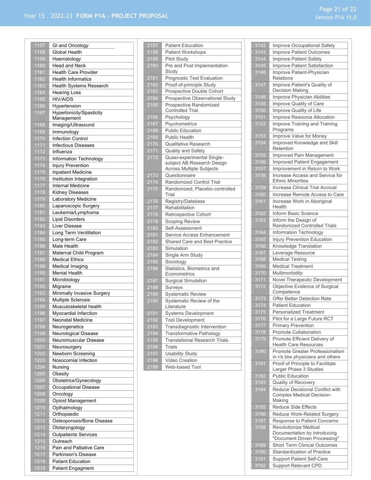| 1157 | GI and Oncology             |
|------|-----------------------------|
| 1158 | Global Health               |
| 1159 | Haematology                 |
| 1160 | <b>Head and Neck</b>        |
| 1161 | <b>Health Care Provider</b> |
| 1162 | <b>Health Informatics</b>   |
| 1163 | Health Systems Research     |
| 1164 | <b>Hearing Loss</b>         |
| 1165 | <b>HIV/AIDS</b>             |
| 1166 | Hypertension                |
| 1167 | Hypertonicity/Spasticity    |
|      | Management                  |
| 1168 | Imaging/Ultrasound          |
| 1169 | Immunology                  |
| 1170 | <b>Infection Control</b>    |
| 1171 | Infectious Diseases         |
| 1172 | Influenza                   |
| 1173 | Information Technology      |
| 1174 | <b>Injury Prevention</b>    |
| 1175 | <b>Inpatient Medicine</b>   |
| 1176 | Institution Integration     |
| 1177 | <b>Internal Medicine</b>    |
| 1178 | Kidney Diseases             |
| 1179 | Laboratory Medicine         |
| 1180 | Laparoscopic Surgery        |
| 1181 | Leukemia/Lymphoma           |
| 1182 | <b>Lipid Disorders</b>      |
| 1183 | Liver Disease               |
| 1184 | Long Term Ventillation      |
| 1185 | Long-term Care              |
| 1186 | Male Health                 |
| 1187 | Maternal Child Program      |
| 1188 | <b>Medical Ethics</b>       |
| 1189 | Medical Imaging             |
| 1190 | Mental Health               |
| 1191 | Microbiology                |
| 1192 | Migraine                    |
| 1193 | Minimally Invasive Surgery  |
| 1194 | Multiple Sclerosis          |
| 1195 | Musculoskeletal health      |
| 1196 | Myocardial Infarction       |
| 1197 | Neonatal Medicine           |
| 1198 | Neurogenetics               |
| 1199 | Neurological Disease        |
| 1200 | Neuromuscular Disease       |
| 1201 | Neurosurgery                |
| 1202 | Newborn Screening           |
| 1203 | Nosocomial Infection        |
| 1204 | Nursing                     |
| 1205 | Obesity                     |
| 1206 | Obstetrics/Gynecology       |
| 1207 | Occupational Disease        |
| 1208 | Oncology                    |
| 1209 | Opioid Management           |
| 1210 | Opthalmology                |
|      | Orthopaedic                 |
| 1211 |                             |
| 1212 | Osteoporosis/Bone Disease   |
| 1213 | Otolaryngology              |
| 1214 | <b>Outpatients Services</b> |
| 1215 | Outreach                    |
| 1216 | Pain and Palliative Care    |
| 1217 | Parkinson's Disease         |
| 1218 | <b>Patient Education</b>    |
| 1219 | Patient Engagment           |

| 2157              | <b>Patient Education</b>                                                                    |
|-------------------|---------------------------------------------------------------------------------------------|
| 2158              | <b>Patient Workshops</b>                                                                    |
| 2159              | Pilot Study                                                                                 |
| 2160              | Pre and Post Implementation<br>Study                                                        |
| 2161              | <b>Prognostic Test Evaluation</b>                                                           |
| 2162              | Proof-of-principle Study                                                                    |
| 2163              | Prospective Double Cohort                                                                   |
| 2164              | Prospective Observational Study                                                             |
| 2165              | Prospective Randomized<br><b>Controlled Trial</b>                                           |
| 2166              | Psychology                                                                                  |
| 2167              | Psychometrics                                                                               |
| 2168              | <b>Public Education</b>                                                                     |
| 2169              | <b>Public Health</b>                                                                        |
| $\frac{2}{170}$   | <b>Qualitative Research</b>                                                                 |
| 2171              | Quality and Safety                                                                          |
| 2172              | Quasi-experimental Single-<br>subject AB Research Design<br><b>Across Multiple Subjects</b> |
| 2173              | Questionnaire                                                                               |
| 2174              | Randomized Control Trial                                                                    |
| 2175              | Randomized, Placebo-controlled<br>Trial                                                     |
| 2176              | Registry/Database                                                                           |
| 2177              | Rehabilitation                                                                              |
| 2178              | <b>Retrospective Cohort</b>                                                                 |
| 2179              | <b>Scoping Review</b>                                                                       |
| 2180              | Self-Assessment                                                                             |
| 2181              | Service Access Enhancement                                                                  |
| 2182              | Shared Care and Best Practice                                                               |
| 2183              | Simulation                                                                                  |
| $\frac{1}{2}$ 184 | Single Arm Study                                                                            |
| 2185              | Sociology                                                                                   |
| 2186              | Statistics, Biometrics and                                                                  |
|                   | Econometrics                                                                                |
| 2187              | <b>Surgical Simulation</b>                                                                  |
| 2188              | Surveys                                                                                     |
| 2189              | <b>Systematic Review</b>                                                                    |
| 2190              | Systematic Review of the<br>Literature                                                      |
| 2191              | Systems Development                                                                         |
| 2192              | <b>Tool Development</b>                                                                     |
| 2193              | Transdiagnostic Intervention                                                                |
| 2194              | Transformative Pathology                                                                    |
| 2195              | <b>Translational Research Trials</b>                                                        |
| 2196              | <b>Trials</b>                                                                               |
| 2197              | <b>Usability Study</b>                                                                      |
| 2198              | Video Creation                                                                              |
| 2199              | Web-based Tool                                                                              |
|                   |                                                                                             |

| 3142               | Improve Occupational Safety                                         |
|--------------------|---------------------------------------------------------------------|
| 3143               | <b>Improve Patient Outcomes</b>                                     |
| 3144               | Improve Patient Safety                                              |
| 3145               |                                                                     |
|                    | Improve Patient Satisfaction                                        |
| 3146               | Improve Patient-Physician<br>Relations                              |
| 3147               | Improve Patient's Quality of<br>Decision Making                     |
| 3148               | Improve Physician Abilities                                         |
| $\overline{3149}$  | Improve Quality of Care                                             |
| 3150               | Improve Quality of Life                                             |
| 3151               | Improve Resource Allocation                                         |
| 3152               | Improve Training and Training<br>Programs                           |
| 3153               | Improve Value for Money                                             |
| 3154               | Improved Knowledge and Skill                                        |
|                    | Retention                                                           |
| 3155               | Improved Pain Management                                            |
| 3156               | Improved Patient Engagement                                         |
| 3157               | Improvement in Return to Work                                       |
| 3158               | Increase Access and Service for                                     |
|                    | <b>Ethnic Minorities</b>                                            |
| 3159               | <b>Increase Clinical Trial Accrual</b>                              |
| 3160               | Increase Remote Access to Care                                      |
| 3161               | Increase Work in Aboriginal<br>Health                               |
| 3162               | Inform Basic Science                                                |
| 3163               | Inform the Design of                                                |
|                    | Randomized Controlled Trials                                        |
| 3164               | Information Technology                                              |
| 3165               | <b>Injury Prevention Education</b>                                  |
| 3166               | Knowledge Translation                                               |
| 3167               | Leverage Resource                                                   |
| 3168               | <b>Medical Testing</b>                                              |
| 3169               | <b>Medical Treatment</b>                                            |
| $\overline{3}$ 170 | Multimorbidity                                                      |
| 3171               | Novel Therapeutic Development                                       |
| 3172               | Objective Evidence of Surgical                                      |
|                    | Competence                                                          |
| 3173               | Offer Better Detection Rate                                         |
| $\overline{3}$ 174 | <b>Patient Education</b>                                            |
| $3\overline{175}$  | <b>Personalized Treatment</b>                                       |
| 3176               | Pilot for a Large Future RCT                                        |
| 3177               | <b>Primary Prevention</b>                                           |
| 3178               | Promote Collaboration                                               |
| 3179               | Promote Efficient Delivery of                                       |
|                    | <b>Health Care Resources</b>                                        |
| 3180               | Promote Greater Professionalism                                     |
|                    | in r/s btw physicians and others                                    |
| 3181               | Proof of Principle to Facilitate                                    |
|                    | Larger Phase 3 Studies                                              |
| 3182               | <b>Public Education</b>                                             |
| 3183               | Quality of Recovery                                                 |
| 3184               | Reduce Decisional Conflict with<br><b>Complex Medical Decision-</b> |
|                    | Making                                                              |
| 3185               | Reduce Side Effects                                                 |
| 3186               | Reduce Work-Related Surgery                                         |
| 3187               | Response to Patient Concerns                                        |
| 3188               | <b>Revolutionize Medical</b>                                        |
|                    | Documentation by introducing                                        |
|                    | "Document Driven Processing"                                        |
| 3189               | Short Term Clinical Outcomes                                        |
| 3190               | <b>Standardization of Practice</b>                                  |
| 3191               | Support Patient Self-Care                                           |
| 3192               | <b>Support Relevant CPD</b>                                         |

 $31$ <br> $31$ <br> $31$ <br> $31$ <br> $31$ <br> $31$ <br> $31$